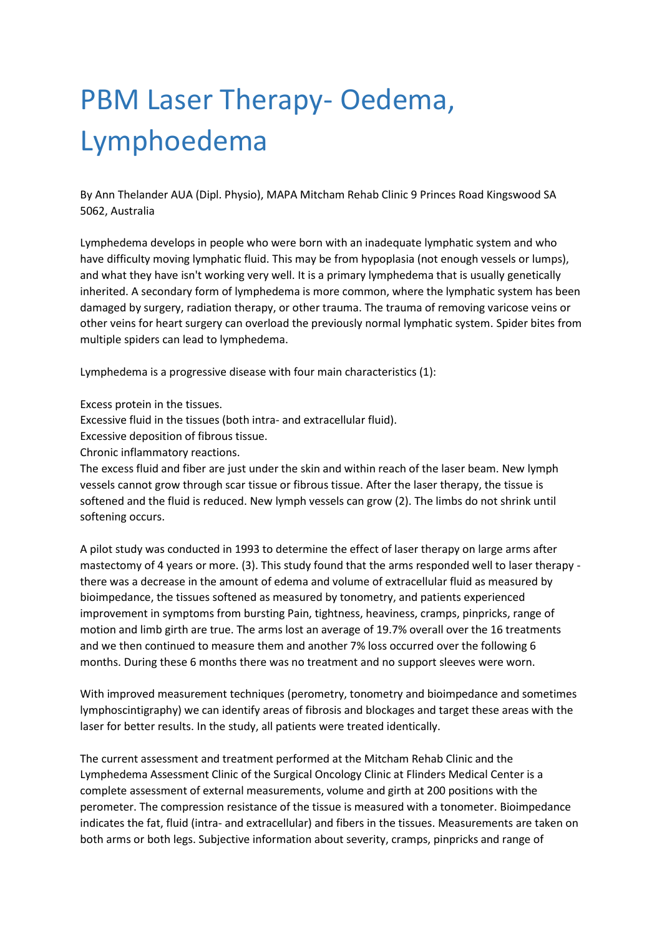## PBM Laser Therapy- Oedema, Lymphoedema

By Ann Thelander AUA (Dipl. Physio), MAPA Mitcham Rehab Clinic 9 Princes Road Kingswood SA 5062, Australia

Lymphedema develops in people who were born with an inadequate lymphatic system and who have difficulty moving lymphatic fluid. This may be from hypoplasia (not enough vessels or lumps), and what they have isn't working very well. It is a primary lymphedema that is usually genetically inherited. A secondary form of lymphedema is more common, where the lymphatic system has been damaged by surgery, radiation therapy, or other trauma. The trauma of removing varicose veins or other veins for heart surgery can overload the previously normal lymphatic system. Spider bites from multiple spiders can lead to lymphedema.

Lymphedema is a progressive disease with four main characteristics (1):

Excess protein in the tissues.

Excessive fluid in the tissues (both intra- and extracellular fluid).

Excessive deposition of fibrous tissue.

Chronic inflammatory reactions.

The excess fluid and fiber are just under the skin and within reach of the laser beam. New lymph vessels cannot grow through scar tissue or fibrous tissue. After the laser therapy, the tissue is softened and the fluid is reduced. New lymph vessels can grow (2). The limbs do not shrink until softening occurs.

A pilot study was conducted in 1993 to determine the effect of laser therapy on large arms after mastectomy of 4 years or more. (3). This study found that the arms responded well to laser therapy there was a decrease in the amount of edema and volume of extracellular fluid as measured by bioimpedance, the tissues softened as measured by tonometry, and patients experienced improvement in symptoms from bursting Pain, tightness, heaviness, cramps, pinpricks, range of motion and limb girth are true. The arms lost an average of 19.7% overall over the 16 treatments and we then continued to measure them and another 7% loss occurred over the following 6 months. During these 6 months there was no treatment and no support sleeves were worn.

With improved measurement techniques (perometry, tonometry and bioimpedance and sometimes lymphoscintigraphy) we can identify areas of fibrosis and blockages and target these areas with the laser for better results. In the study, all patients were treated identically.

The current assessment and treatment performed at the Mitcham Rehab Clinic and the Lymphedema Assessment Clinic of the Surgical Oncology Clinic at Flinders Medical Center is a complete assessment of external measurements, volume and girth at 200 positions with the perometer. The compression resistance of the tissue is measured with a tonometer. Bioimpedance indicates the fat, fluid (intra- and extracellular) and fibers in the tissues. Measurements are taken on both arms or both legs. Subjective information about severity, cramps, pinpricks and range of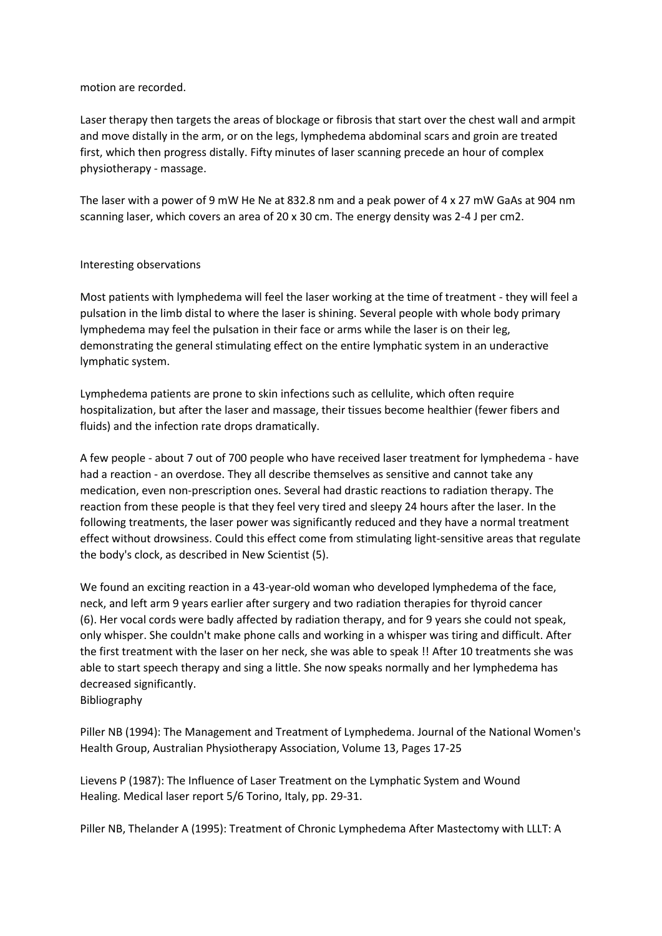## motion are recorded.

Laser therapy then targets the areas of blockage or fibrosis that start over the chest wall and armpit and move distally in the arm, or on the legs, lymphedema abdominal scars and groin are treated first, which then progress distally. Fifty minutes of laser scanning precede an hour of complex physiotherapy - massage.

The laser with a power of 9 mW He Ne at 832.8 nm and a peak power of 4 x 27 mW GaAs at 904 nm scanning laser, which covers an area of 20 x 30 cm. The energy density was 2-4 J per cm2.

## Interesting observations

Most patients with lymphedema will feel the laser working at the time of treatment - they will feel a pulsation in the limb distal to where the laser is shining. Several people with whole body primary lymphedema may feel the pulsation in their face or arms while the laser is on their leg, demonstrating the general stimulating effect on the entire lymphatic system in an underactive lymphatic system.

Lymphedema patients are prone to skin infections such as cellulite, which often require hospitalization, but after the laser and massage, their tissues become healthier (fewer fibers and fluids) and the infection rate drops dramatically.

A few people - about 7 out of 700 people who have received laser treatment for lymphedema - have had a reaction - an overdose. They all describe themselves as sensitive and cannot take any medication, even non-prescription ones. Several had drastic reactions to radiation therapy. The reaction from these people is that they feel very tired and sleepy 24 hours after the laser. In the following treatments, the laser power was significantly reduced and they have a normal treatment effect without drowsiness. Could this effect come from stimulating light-sensitive areas that regulate the body's clock, as described in New Scientist (5).

We found an exciting reaction in a 43-year-old woman who developed lymphedema of the face, neck, and left arm 9 years earlier after surgery and two radiation therapies for thyroid cancer (6). Her vocal cords were badly affected by radiation therapy, and for 9 years she could not speak, only whisper. She couldn't make phone calls and working in a whisper was tiring and difficult. After the first treatment with the laser on her neck, she was able to speak !! After 10 treatments she was able to start speech therapy and sing a little. She now speaks normally and her lymphedema has decreased significantly.

Bibliography

Piller NB (1994): The Management and Treatment of Lymphedema. Journal of the National Women's Health Group, Australian Physiotherapy Association, Volume 13, Pages 17-25

Lievens P (1987): The Influence of Laser Treatment on the Lymphatic System and Wound Healing. Medical laser report 5/6 Torino, Italy, pp. 29-31.

Piller NB, Thelander A (1995): Treatment of Chronic Lymphedema After Mastectomy with LLLT: A